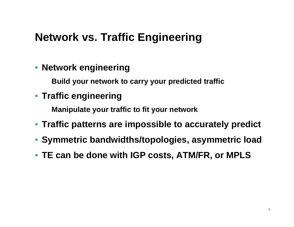# **Network vs. Traffic Engineering**

### • **Network engineering**

**Build your network to carry your predicted traffic**

### • **Traffic engineering**

**Manipulate your traffic to fit your network**

- **Traffic patterns are impossible to accurately predict**
- **Symmetric bandwidths/topologies, asymmetric load**
- **TE can be done with IGP costs, ATM/FR, or MPLS**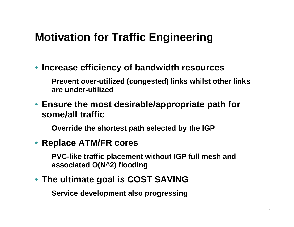# **Motivation for Traffic Engineering**

• **Increase efficiency of bandwidth resources** 

**Prevent over-utilized (congested) links whilst other links are under-utilized** 

• **Ensure the most desirable/appropriate path for some/all traffic**

**Override the shortest path selected by the IGP**

#### • **Replace ATM/FR cores**

**PVC-like traffic placement without IGP full mesh and associated O(N^2) flooding**

#### • **The ultimate goal is COST SAVING**

**Service development also progressing**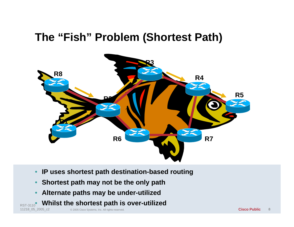### **The "Fish" Problem (Shortest Path)**



- **IP uses shortest path destination-based routing**
- **Shortest path may not be the only path**
- **Alternate paths may be under-utilized**
- **Whilst the shortest path is over-utilized** RST-3110 **CONTRIGUATE STICT LUGL PULLET IS OVUL ULITZUA**<br>11218\_05\_2005\_c2 <sup>© 2005 Cisco Systems, Inc. All rights reserved.</sup>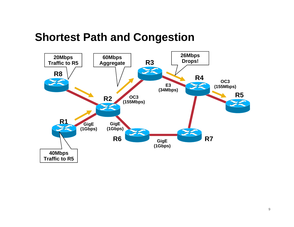### **Shortest Path and Congestion**

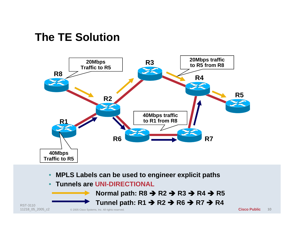### **The TE Solution**



- **MPLS Labels can be used to engineer explicit paths**
- **Tunnels are UNI-DIRECTIONAL**

**Normal path: R8 → R2 → R3 → R4 → R5 Tunnel path: R1 → R2 → R6 → R7 → R4** 

© 2005 Cisco Systems, Inc. All rights reserved. RST-3110 11218\_05\_2005\_c2 **Cisco Public**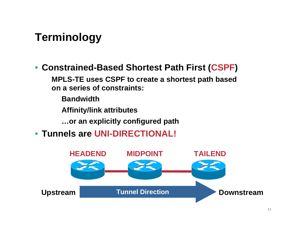# **Terminology**

#### • **Constrained-Based Shortest Path First (CSPF)**

**MPLS-TE uses CSPF to create a shortest path based on a series of constraints:**

**Bandwidth**

**Affinity/link attributes**

**…or an explicitly configured path**

• **Tunnels are UNI-DIRECTIONAL!**

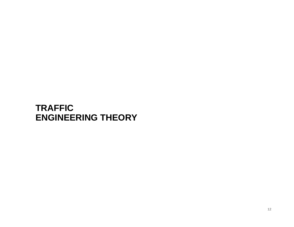#### **TRAFFIC ENGINEERING THEORY**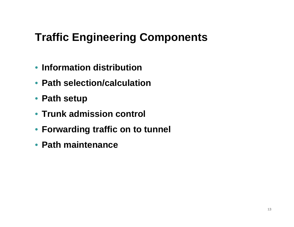# **Traffic Engineering Components**

- **Information distribution**
- **Path selection/calculation**
- **Path setup**
- **Trunk admission control**
- **Forwarding traffic on to tunnel**
- **Path maintenance**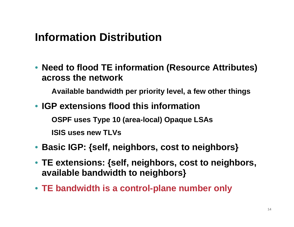## **Information Distribution**

• **Need to flood TE information (Resource Attributes) across the network**

**Available bandwidth per priority level, a few other things**

• **IGP extensions flood this informationOSPF uses Type 10 (area-local) Opaque LSAs**

**ISIS uses new TLVs**

- **Basic IGP: {self, neighbors, cost to neighbors}**
- **TE extensions: {self, neighbors, cost to neighbors, available bandwidth to neighbors}**
- **TE bandwidth is a control-plane number only**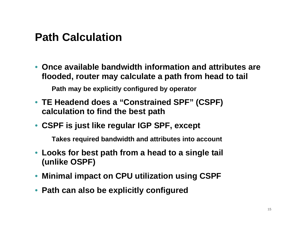### **Path Calculation**

• **Once available bandwidth information and attributes are flooded, router may calculate a path from head to tail**

**Path may be explicitly configured by operator**

- **TE Headend does a "Constrained SPF" (CSPF) calculation to find the best path**
- **CSPF is just like regular IGP SPF, except**

**Takes required bandwidth and attributes into account**

- **Looks for best path from a head to a single tail (unlike OSPF)**
- **Minimal impact on CPU utilization using CSPF**
- **Path can also be explicitly configured**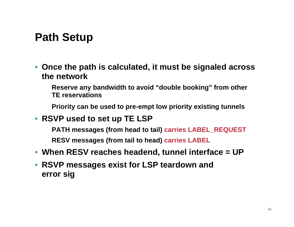## **Path Setup**

- **Once the path is calculated, it must be signaled across the network**
	- **Reserve any bandwidth to avoid "double booking" from other TE reservations**
	- **Priority can be used to pre-empt low priority existing tunnels**
- **RSVP used to set up TE LSP**
	- **PATH messages (from head to tail) carries LABEL\_REQUEST RESV messages (from tail to head) carries LABEL**
- **When RESV reaches headend, tunnel interface = UP**
- **RSVP messages exist for LSP teardown and error sig**